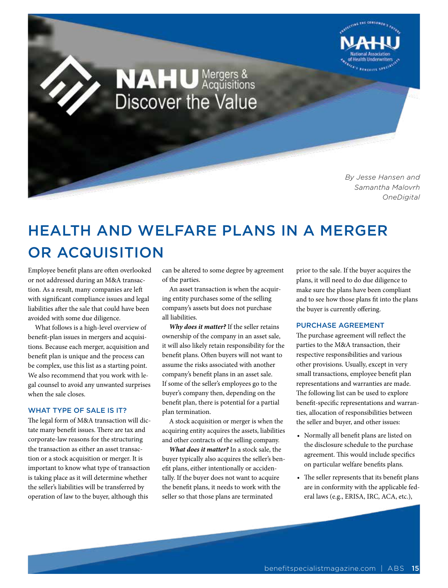

*By Jesse Hansen and Samantha Malovrh OneDigital*

## HEALTH AND WELFARE PLANS IN A MERGER OR ACQUISITION

**NAHU** Mergers &<br>Discover the Value

Employee benefit plans are often overlooked or not addressed during an M&A transaction. As a result, many companies are left with significant compliance issues and legal liabilities after the sale that could have been avoided with some due diligence.

What follows is a high-level overview of benefit-plan issues in mergers and acquisitions. Because each merger, acquisition and benefit plan is unique and the process can be complex, use this list as a starting point. We also recommend that you work with legal counsel to avoid any unwanted surprises when the sale closes.

## WHAT TYPE OF SALE IS IT?

The legal form of M&A transaction will dictate many benefit issues. There are tax and corporate-law reasons for the structuring the transaction as either an asset transaction or a stock acquisition or merger. It is important to know what type of transaction is taking place as it will determine whether the seller's liabilities will be transferred by operation of law to the buyer, although this

can be altered to some degree by agreement of the parties.

An asset transaction is when the acquiring entity purchases some of the selling company's assets but does not purchase all liabilities.

*Why does it matter?* If the seller retains ownership of the company in an asset sale, it will also likely retain responsibility for the benefit plans. Often buyers will not want to assume the risks associated with another company's benefit plans in an asset sale. If some of the seller's employees go to the buyer's company then, depending on the benefit plan, there is potential for a partial plan termination.

A stock acquisition or merger is when the acquiring entity acquires the assets, liabilities and other contracts of the selling company.

*What does it matter?* In a stock sale, the buyer typically also acquires the seller's benefit plans, either intentionally or accidentally. If the buyer does not want to acquire the benefit plans, it needs to work with the seller so that those plans are terminated

prior to the sale. If the buyer acquires the plans, it will need to do due diligence to make sure the plans have been compliant and to see how those plans fit into the plans the buyer is currently offering.

## PURCHASE AGREEMENT

The purchase agreement will reflect the parties to the M&A transaction, their respective responsibilities and various other provisions. Usually, except in very small transactions, employee benefit plan representations and warranties are made. The following list can be used to explore benefit-specific representations and warranties, allocation of responsibilities between the seller and buyer, and other issues:

- Normally all benefit plans are listed on the disclosure schedule to the purchase agreement. This would include specifics on particular welfare benefits plans.
- The seller represents that its benefit plans are in conformity with the applicable federal laws (e.g., ERISA, IRC, ACA, etc.),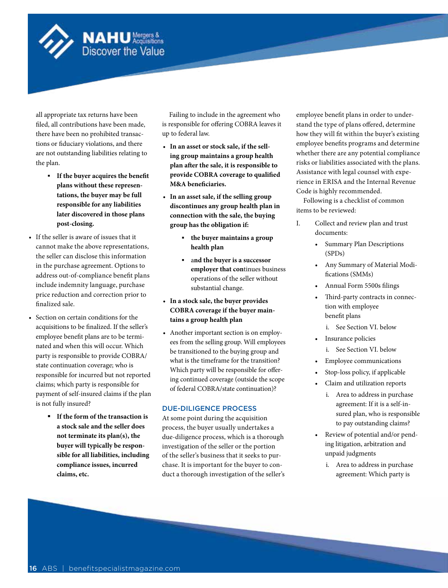

all appropriate tax returns have been filed, all contributions have been made, there have been no prohibited transactions or fiduciary violations, and there are not outstanding liabilities relating to the plan.

**NAHU** Mergers &<br>Discover the Value

- **If the buyer acquires the benefit plans without these representations, the buyer may be full responsible for any liabilities later discovered in those plans post-closing.**
- If the seller is aware of issues that it cannot make the above representations, the seller can disclose this information in the purchase agreement. Options to address out-of-compliance benefit plans include indemnity language, purchase price reduction and correction prior to finalized sale.
- Section on certain conditions for the acquisitions to be finalized. If the seller's employee benefit plans are to be terminated and when this will occur. Which party is responsible to provide COBRA/ state continuation coverage; who is responsible for incurred but not reported claims; which party is responsible for payment of self-insured claims if the plan is not fully insured?
	- **If the form of the transaction is a stock sale and the seller does not terminate its plan(s), the buyer will typically be responsible for all liabilities, including compliance issues, incurred claims, etc.**

Failing to include in the agreement who is responsible for offering COBRA leaves it up to federal law.

- **In an asset or stock sale, if the selling group maintains a group health plan after the sale, it is responsible to provide COBRA coverage to qualified M&A beneficiaries.**
- **In an asset sale, if the selling group discontinues any group health plan in connection with the sale, the buying group has the obligation if:**
	- **the buyer maintains a group health plan**
	- a**nd the buyer is a successor employer that con**tinues business operations of the seller without substantial change.
- **In a stock sale, the buyer provides COBRA coverage if the buyer maintains a group health plan**
- Another important section is on employees from the selling group. Will employees be transitioned to the buying group and what is the timeframe for the transition? Which party will be responsible for offering continued coverage (outside the scope of federal COBRA/state continuation)?

## DUE-DILIGENCE PROCESS

At some point during the acquisition process, the buyer usually undertakes a due-diligence process, which is a thorough investigation of the seller or the portion of the seller's business that it seeks to purchase. It is important for the buyer to conduct a thorough investigation of the seller's employee benefit plans in order to understand the type of plans offered, determine how they will fit within the buyer's existing employee benefits programs and determine whether there are any potential compliance risks or liabilities associated with the plans. Assistance with legal counsel with experience in ERISA and the Internal Revenue Code is highly recommended.

Following is a checklist of common items to be reviewed:

- I. Collect and review plan and trust documents:
	- Summary Plan Descriptions (SPDs)
	- Any Summary of Material Modifications (SMMs)
	- Annual Form 5500s filings
	- Third-party contracts in connection with employee benefit plans
		- i. See Section VI. below
	- Insurance policies
		- i. See Section VI. below
	- Employee communications
	- Stop-loss policy, if applicable
	- Claim and utilization reports
		- i. Area to address in purchase agreement: If it is a self-insured plan, who is responsible to pay outstanding claims?
	- Review of potential and/or pending litigation, arbitration and unpaid judgments
		- i. Area to address in purchase agreement: Which party is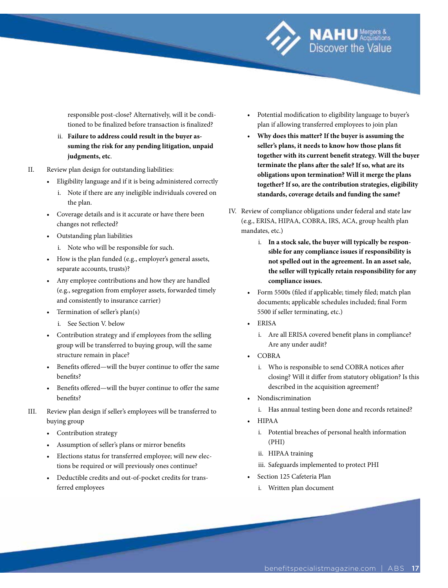responsible post-close? Alternatively, will it be conditioned to be finalized before transaction is finalized?

- ii. **Failure to address could result in the buyer assuming the risk for any pending litigation, unpaid judgments, etc**.
- II. Review plan design for outstanding liabilities:
	- Eligibility language and if it is being administered correctly i. Note if there are any ineligible individuals covered on the plan.
	- Coverage details and is it accurate or have there been changes not reflected?
	- Outstanding plan liabilities
		- i. Note who will be responsible for such.
	- How is the plan funded (e.g., employer's general assets, separate accounts, trusts)?
	- Any employee contributions and how they are handled (e.g., segregation from employer assets, forwarded timely and consistently to insurance carrier)
	- Termination of seller's plan(s)
		- i. See Section V. below
	- Contribution strategy and if employees from the selling group will be transferred to buying group, will the same structure remain in place?
	- Benefits offered—will the buyer continue to offer the same benefits?
	- Benefits offered—will the buyer continue to offer the same benefits?
- III. Review plan design if seller's employees will be transferred to buying group
	- Contribution strategy
	- Assumption of seller's plans or mirror benefits
	- Elections status for transferred employee; will new elections be required or will previously ones continue?
	- Deductible credits and out-of-pocket credits for transferred employees

• Potential modification to eligibility language to buyer's plan if allowing transferred employees to join plan

**NAHU**<sup>Merg</sup> Discover the Value

- **Why does this matter? If the buyer is assuming the seller's plans, it needs to know how those plans fit together with its current benefit strategy. Will the buyer terminate the plans after the sale? If so, what are its obligations upon termination? Will it merge the plans together? If so, are the contribution strategies, eligibility standards, coverage details and funding the same?**
- IV. Review of compliance obligations under federal and state law (e.g., ERISA, HIPAA, COBRA, IRS, ACA, group health plan mandates, etc.)
	- i. **In a stock sale, the buyer will typically be responsible for any compliance issues if responsibility is not spelled out in the agreement. In an asset sale, the seller will typically retain responsibility for any compliance issues.**
	- Form 5500s (filed if applicable; timely filed; match plan documents; applicable schedules included; final Form 5500 if seller terminating, etc.)
	- ERISA
		- i. Are all ERISA covered benefit plans in compliance? Are any under audit?
	- COBRA
		- i. Who is responsible to send COBRA notices after closing? Will it differ from statutory obligation? Is this described in the acquisition agreement?
	- Nondiscrimination
		- i. Has annual testing been done and records retained?
	- HIPAA
		- i. Potential breaches of personal health information (PHI)
		- ii. HIPAA training
		- iii. Safeguards implemented to protect PHI
	- Section 125 Cafeteria Plan
		- i. Written plan document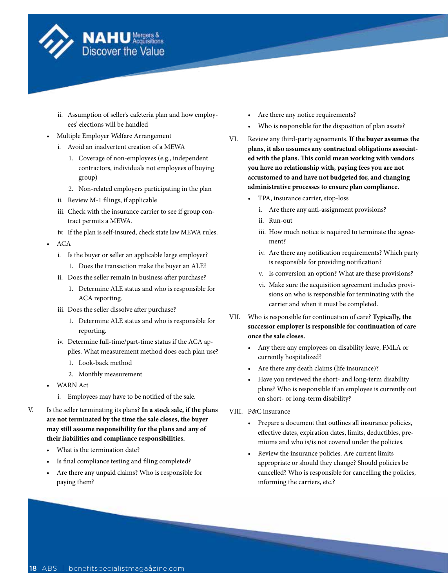

- ii. Assumption of seller's cafeteria plan and how employees' elections will be handled
- Multiple Employer Welfare Arrangement
	- i. Avoid an inadvertent creation of a MEWA
		- 1. Coverage of non-employees (e.g., independent contractors, individuals not employees of buying group)
		- 2. Non-related employers participating in the plan
	- ii. Review M-1 filings, if applicable
	- iii. Check with the insurance carrier to see if group contract permits a MEWA.
	- iv. If the plan is self-insured, check state law MEWA rules.
- ACA
	- i. Is the buyer or seller an applicable large employer?
		- 1. Does the transaction make the buyer an ALE?
	- ii. Does the seller remain in business after purchase?
		- 1. Determine ALE status and who is responsible for ACA reporting.
	- iii. Does the seller dissolve after purchase?
		- 1. Determine ALE status and who is responsible for reporting.
	- iv. Determine full-time/part-time status if the ACA applies. What measurement method does each plan use?
		- 1. Look-back method
		- 2. Monthly measurement
- WARN Act
	- i. Employees may have to be notified of the sale.
- V. Is the seller terminating its plans? **In a stock sale, if the plans are not terminated by the time the sale closes, the buyer may still assume responsibility for the plans and any of their liabilities and compliance responsibilities.**
	- What is the termination date?
	- Is final compliance testing and filing completed?
	- Are there any unpaid claims? Who is responsible for paying them?
- Are there any notice requirements?
- Who is responsible for the disposition of plan assets?
- VI. Review any third-party agreements. **If the buyer assumes the plans, it also assumes any contractual obligations associated with the plans. This could mean working with vendors you have no relationship with, paying fees you are not accustomed to and have not budgeted for, and changing administrative processes to ensure plan compliance.**
	- TPA, insurance carrier, stop-loss
		- i. Are there any anti-assignment provisions?
		- ii. Run-out
		- iii. How much notice is required to terminate the agreement?
		- iv. Are there any notification requirements? Which party is responsible for providing notification?
		- v. Is conversion an option? What are these provisions?
		- vi. Make sure the acquisition agreement includes provisions on who is responsible for terminating with the carrier and when it must be completed.
- VII. Who is responsible for continuation of care? **Typically, the successor employer is responsible for continuation of care once the sale closes.**
	- Any there any employees on disability leave, FMLA or currently hospitalized?
	- Are there any death claims (life insurance)?
	- Have you reviewed the short- and long-term disability plans? Who is responsible if an employee is currently out on short- or long-term disability?
- VIII. P&C insurance
	- Prepare a document that outlines all insurance policies, effective dates, expiration dates, limits, deductibles, premiums and who is/is not covered under the policies.
	- Review the insurance policies. Are current limits appropriate or should they change? Should policies be cancelled? Who is responsible for cancelling the policies, informing the carriers, etc.?